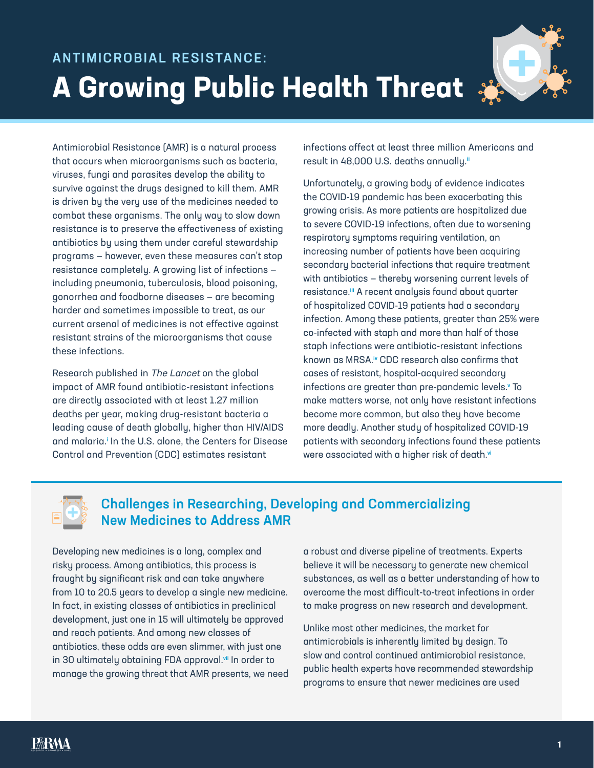

Antimicrobial Resistance (AMR) is a natural process that occurs when microorganisms such as bacteria, viruses, fungi and parasites develop the ability to survive against the drugs designed to kill them. AMR is driven by the very use of the medicines needed to combat these organisms. The only way to slow down resistance is to preserve the effectiveness of existing antibiotics by using them under careful stewardship programs — however, even these measures can't stop resistance completely. A growing list of infections including pneumonia, tuberculosis, blood poisoning, gonorrhea and foodborne diseases — are becoming harder and sometimes impossible to treat, as our current arsenal of medicines is not effective against resistant strains of the microorganisms that cause these infections.

Research published in The Lancet on the global impact of AMR found antibiotic-resistant infections are directly associated with at least 1.27 million deaths per year, making drug-resistant bacteria a leading cause of death globally, higher than HIV/AIDS and malaria.<sup>i</sup> In the U.S. alone, the Centers for Disease Control and Prevention (CDC) estimates resistant

infections affect at least three million Americans and result in 48,000 U.S. deaths annually.<sup>ii</sup>

Unfortunately, a growing body of evidence indicates the COVID-19 pandemic has been exacerbating this growing crisis. As more patients are hospitalized due to severe COVID-19 infections, often due to worsening respiratory symptoms requiring ventilation, an increasing number of patients have been acquiring secondary bacterial infections that require treatment with antibiotics — thereby worsening current levels of resistance.<sup>iii</sup> A recent analysis found about quarter of hospitalized COVID-19 patients had a secondary infection. Among these patients, greater than 25% were co-infected with staph and more than half of those staph infections were antibiotic-resistant infections known as MRSA.iv CDC research also confirms that cases of resistant, hospital-acquired secondary infections are greater than pre-pandemic levels.<sup>,</sup> To make matters worse, not only have resistant infections become more common, but also they have become more deadly. Another study of hospitalized COVID-19 patients with secondary infections found these patients were associated with a higher risk of death.vi



## Challenges in Researching, Developing and Commercializing New Medicines to Address AMR

Developing new medicines is a long, complex and risky process. Among antibiotics, this process is fraught by significant risk and can take anywhere from 10 to 20.5 years to develop a single new medicine. In fact, in existing classes of antibiotics in preclinical development, just one in 15 will ultimately be approved and reach patients. And among new classes of antibiotics, these odds are even slimmer, with just one in 30 ultimately obtaining FDA approval.vii In order to manage the growing threat that AMR presents, we need a robust and diverse pipeline of treatments. Experts believe it will be necessary to generate new chemical substances, as well as a better understanding of how to overcome the most difficult-to-treat infections in order to make progress on new research and development.

Unlike most other medicines, the market for antimicrobials is inherently limited by design. To slow and control continued antimicrobial resistance, public health experts have recommended stewardship programs to ensure that newer medicines are used